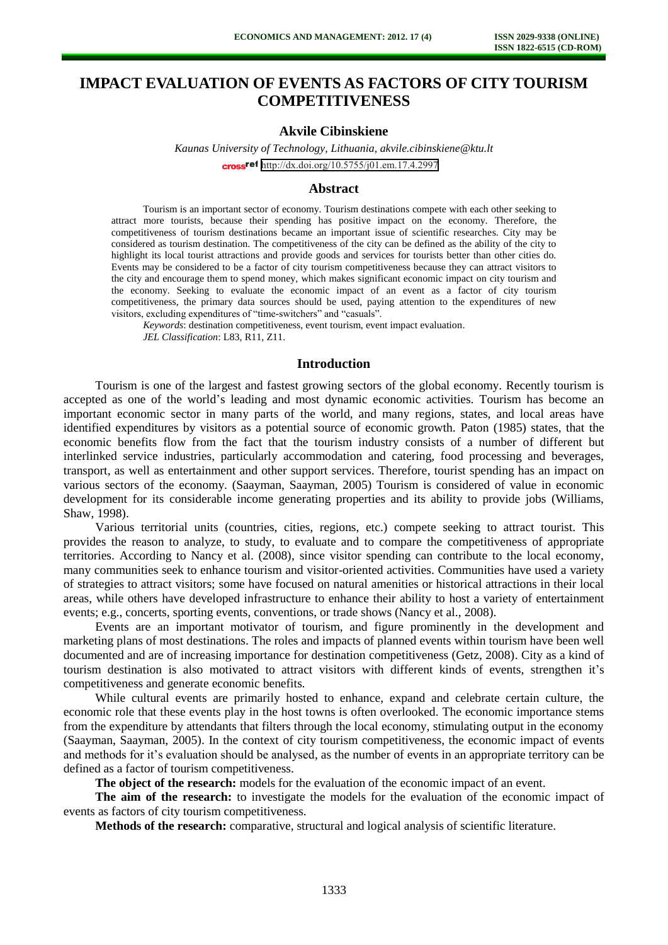# **IMPACT EVALUATION OF EVENTS AS FACTORS OF CITY TOURISM COMPETITIVENESS**

# **Akvile Cibinskiene**

*Kaunas University of Technology, Lithuania, akvile.cibinskiene@ktu.lt* cross<sup>ref</sup> <http://dx.doi.org/10.5755/j01.em.17.4.2997>

#### **Abstract**

Tourism is an important sector of economy. Tourism destinations compete with each other seeking to attract more tourists, because their spending has positive impact on the economy. Therefore, the competitiveness of tourism destinations became an important issue of scientific researches. City may be considered as tourism destination. The competitiveness of the city can be defined as the ability of the city to highlight its local tourist attractions and provide goods and services for tourists better than other cities do. Events may be considered to be a factor of city tourism competitiveness because they can attract visitors to the city and encourage them to spend money, which makes significant economic impact on city tourism and the economy. Seeking to evaluate the economic impact of an event as a factor of city tourism competitiveness, the primary data sources should be used, paying attention to the expenditures of new visitors, excluding expenditures of "time-switchers" and "casuals".

*Keywords*: destination competitiveness, event tourism, event impact evaluation. *JEL Classification*: L83, R11, Z11.

# **Introduction**

Tourism is one of the largest and fastest growing sectors of the global economy. Recently tourism is accepted as one of the world's leading and most dynamic economic activities. Tourism has become an important economic sector in many parts of the world, and many regions, states, and local areas have identified expenditures by visitors as a potential source of economic growth. Paton (1985) states, that the economic benefits flow from the fact that the tourism industry consists of a number of different but interlinked service industries, particularly accommodation and catering, food processing and beverages, transport, as well as entertainment and other support services. Therefore, tourist spending has an impact on various sectors of the economy. (Saayman, Saayman, 2005) Tourism is considered of value in economic development for its considerable income generating properties and its ability to provide jobs (Williams, Shaw, 1998).

Various territorial units (countries, cities, regions, etc.) compete seeking to attract tourist. This provides the reason to analyze, to study, to evaluate and to compare the competitiveness of appropriate territories. According to Nancy et al. (2008), since visitor spending can contribute to the local economy, many communities seek to enhance tourism and visitor-oriented activities. Communities have used a variety of strategies to attract visitors; some have focused on natural amenities or historical attractions in their local areas, while others have developed infrastructure to enhance their ability to host a variety of entertainment events; e.g., concerts, sporting events, conventions, or trade shows (Nancy et al., 2008).

Events are an important motivator of tourism, and figure prominently in the development and marketing plans of most destinations. The roles and impacts of planned events within tourism have been well documented and are of increasing importance for destination competitiveness (Getz, 2008). City as a kind of tourism destination is also motivated to attract visitors with different kinds of events, strengthen it's competitiveness and generate economic benefits.

While cultural events are primarily hosted to enhance, expand and celebrate certain culture, the economic role that these events play in the host towns is often overlooked. The economic importance stems from the expenditure by attendants that filters through the local economy, stimulating output in the economy (Saayman, Saayman, 2005). In the context of city tourism competitiveness, the economic impact of events and methods for it's evaluation should be analysed, as the number of events in an appropriate territory can be defined as a factor of tourism competitiveness.

**The object of the research:** models for the evaluation of the economic impact of an event.

**The aim of the research:** to investigate the models for the evaluation of the economic impact of events as factors of city tourism competitiveness.

**Methods of the research:** comparative, structural and logical analysis of scientific literature.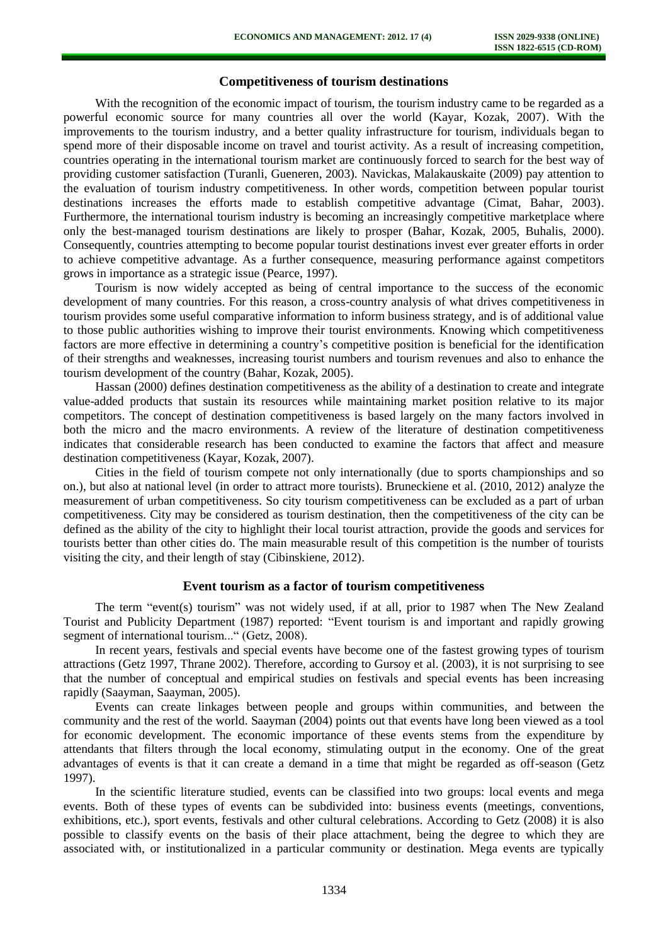## **Competitiveness of tourism destinations**

With the recognition of the economic impact of tourism, the tourism industry came to be regarded as a powerful economic source for many countries all over the world (Kayar, Kozak, 2007). With the improvements to the tourism industry, and a better quality infrastructure for tourism, individuals began to spend more of their disposable income on travel and tourist activity. As a result of increasing competition, countries operating in the international tourism market are continuously forced to search for the best way of providing customer satisfaction (Turanli, Gueneren, 2003). Navickas, Malakauskaite (2009) pay attention to the evaluation of tourism industry competitiveness. In other words, competition between popular tourist destinations increases the efforts made to establish competitive advantage (Cimat, Bahar, 2003). Furthermore, the international tourism industry is becoming an increasingly competitive marketplace where only the best-managed tourism destinations are likely to prosper (Bahar, Kozak, 2005, Buhalis, 2000). Consequently, countries attempting to become popular tourist destinations invest ever greater efforts in order to achieve competitive advantage. As a further consequence, measuring performance against competitors grows in importance as a strategic issue (Pearce, 1997).

Tourism is now widely accepted as being of central importance to the success of the economic development of many countries. For this reason, a cross-country analysis of what drives competitiveness in tourism provides some useful comparative information to inform business strategy, and is of additional value to those public authorities wishing to improve their tourist environments. Knowing which competitiveness factors are more effective in determining a country's competitive position is beneficial for the identification of their strengths and weaknesses, increasing tourist numbers and tourism revenues and also to enhance the tourism development of the country (Bahar, Kozak, 2005).

Hassan (2000) defines destination competitiveness as the ability of a destination to create and integrate value-added products that sustain its resources while maintaining market position relative to its major competitors. The concept of destination competitiveness is based largely on the many factors involved in both the micro and the macro environments. A review of the literature of destination competitiveness indicates that considerable research has been conducted to examine the factors that affect and measure destination competitiveness (Kayar, Kozak, 2007).

Cities in the field of tourism compete not only internationally (due to sports championships and so on.), but also at national level (in order to attract more tourists). Bruneckiene et al. (2010, 2012) analyze the measurement of urban competitiveness. So city tourism competitiveness can be excluded as a part of urban competitiveness. City may be considered as tourism destination, then the competitiveness of the city can be defined as the ability of the city to highlight their local tourist attraction, provide the goods and services for tourists better than other cities do. The main measurable result of this competition is the number of tourists visiting the city, and their length of stay (Cibinskiene, 2012).

#### **Event tourism as a factor of tourism competitiveness**

The term "event(s) tourism" was not widely used, if at all, prior to 1987 when The New Zealand Tourist and Publicity Department (1987) reported: "Event tourism is and important and rapidly growing segment of international tourism..." (Getz, 2008).

In recent years, festivals and special events have become one of the fastest growing types of tourism attractions (Getz 1997, Thrane 2002). Therefore, according to Gursoy et al. (2003), it is not surprising to see that the number of conceptual and empirical studies on festivals and special events has been increasing rapidly (Saayman, Saayman, 2005).

Events can create linkages between people and groups within communities, and between the community and the rest of the world. Saayman (2004) points out that events have long been viewed as a tool for economic development. The economic importance of these events stems from the expenditure by attendants that filters through the local economy, stimulating output in the economy. One of the great advantages of events is that it can create a demand in a time that might be regarded as off-season (Getz 1997).

In the scientific literature studied, events can be classified into two groups: local events and mega events. Both of these types of events can be subdivided into: business events (meetings, conventions, exhibitions, etc.), sport events, festivals and other cultural celebrations. According to Getz (2008) it is also possible to classify events on the basis of their place attachment, being the degree to which they are associated with, or institutionalized in a particular community or destination. Mega events are typically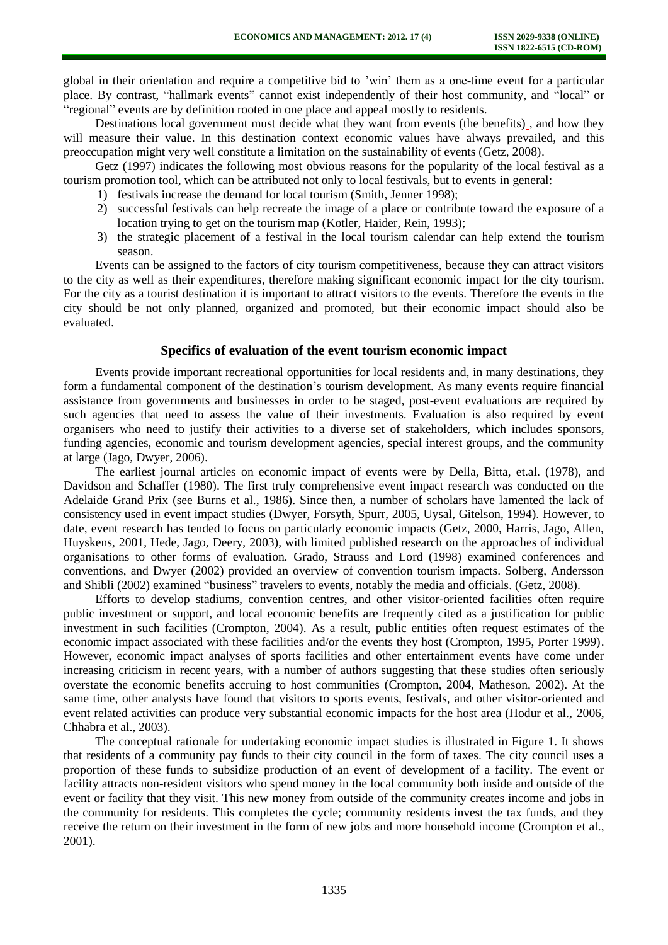global in their orientation and require a competitive bid to 'win' them as a one-time event for a particular place. By contrast, "hallmark events" cannot exist independently of their host community, and "local" or "regional" events are by definition rooted in one place and appeal mostly to residents.

Destinations local government must decide what they want from events (the benefits) , and how they will measure their value. In this destination context economic values have always prevailed, and this preoccupation might very well constitute a limitation on the sustainability of events (Getz, 2008).

Getz (1997) indicates the following most obvious reasons for the popularity of the local festival as a tourism promotion tool, which can be attributed not only to local festivals, but to events in general:

- 1) festivals increase the demand for local tourism (Smith, Jenner 1998);
- 2) successful festivals can help recreate the image of a place or contribute toward the exposure of a location trying to get on the tourism map (Kotler, Haider, Rein, 1993);
- 3) the strategic placement of a festival in the local tourism calendar can help extend the tourism season.

Events can be assigned to the factors of city tourism competitiveness, because they can attract visitors to the city as well as their expenditures, therefore making significant economic impact for the city tourism. For the city as a tourist destination it is important to attract visitors to the events. Therefore the events in the city should be not only planned, organized and promoted, but their economic impact should also be evaluated.

## **Specifics of evaluation of the event tourism economic impact**

Events provide important recreational opportunities for local residents and, in many destinations, they form a fundamental component of the destination's tourism development. As many events require financial assistance from governments and businesses in order to be staged, post-event evaluations are required by such agencies that need to assess the value of their investments. Evaluation is also required by event organisers who need to justify their activities to a diverse set of stakeholders, which includes sponsors, funding agencies, economic and tourism development agencies, special interest groups, and the community at large (Jago, Dwyer, 2006).

The earliest journal articles on economic impact of events were by Della, Bitta, et.al. (1978), and Davidson and Schaffer (1980). The first truly comprehensive event impact research was conducted on the Adelaide Grand Prix (see Burns et al., 1986). Since then, a number of scholars have lamented the lack of consistency used in event impact studies (Dwyer, Forsyth, Spurr, 2005, Uysal, Gitelson, 1994). However, to date, event research has tended to focus on particularly economic impacts (Getz, 2000, Harris, Jago, Allen, Huyskens, 2001, Hede, Jago, Deery, 2003), with limited published research on the approaches of individual organisations to other forms of evaluation. Grado, Strauss and Lord (1998) examined conferences and conventions, and Dwyer (2002) provided an overview of convention tourism impacts. Solberg, Andersson and Shibli (2002) examined "business" travelers to events, notably the media and officials. (Getz, 2008).

Efforts to develop stadiums, convention centres, and other visitor-oriented facilities often require public investment or support, and local economic benefits are frequently cited as a justification for public investment in such facilities (Crompton, 2004). As a result, public entities often request estimates of the economic impact associated with these facilities and/or the events they host (Crompton, 1995, Porter 1999). However, economic impact analyses of sports facilities and other entertainment events have come under increasing criticism in recent years, with a number of authors suggesting that these studies often seriously overstate the economic benefits accruing to host communities (Crompton, 2004, Matheson, 2002). At the same time, other analysts have found that visitors to sports events, festivals, and other visitor-oriented and event related activities can produce very substantial economic impacts for the host area (Hodur et al., 2006, Chhabra et al., 2003).

The conceptual rationale for undertaking economic impact studies is illustrated in Figure 1. It shows that residents of a community pay funds to their city council in the form of taxes. The city council uses a proportion of these funds to subsidize production of an event of development of a facility. The event or facility attracts non-resident visitors who spend money in the local community both inside and outside of the event or facility that they visit. This new money from outside of the community creates income and jobs in the community for residents. This completes the cycle; community residents invest the tax funds, and they receive the return on their investment in the form of new jobs and more household income (Crompton et al., 2001).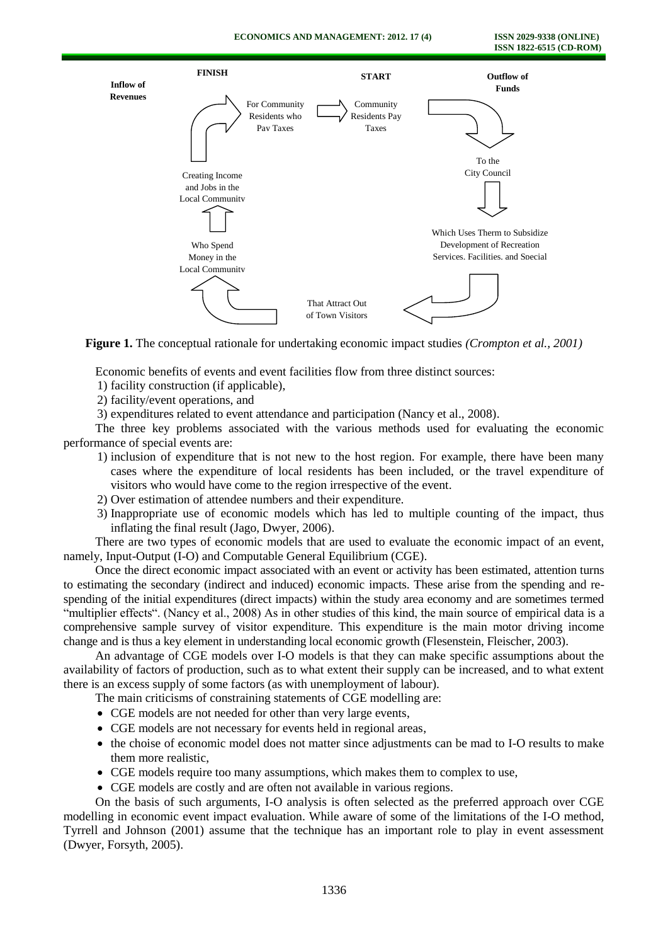

**Figure 1.** The conceptual rationale for undertaking economic impact studies *(Crompton et al., 2001)*

Economic benefits of events and event facilities flow from three distinct sources:

- 1) facility construction (if applicable),
- 2) facility/event operations, and

3) expenditures related to event attendance and participation (Nancy et al., 2008).

The three key problems associated with the various methods used for evaluating the economic performance of special events are:

- 1) inclusion of expenditure that is not new to the host region. For example, there have been many cases where the expenditure of local residents has been included, or the travel expenditure of visitors who would have come to the region irrespective of the event.
- 2) Over estimation of attendee numbers and their expenditure.
- 3) Inappropriate use of economic models which has led to multiple counting of the impact, thus inflating the final result (Jago, Dwyer, 2006).

There are two types of economic models that are used to evaluate the economic impact of an event, namely, Input-Output (I-O) and Computable General Equilibrium (CGE).

Once the direct economic impact associated with an event or activity has been estimated, attention turns to estimating the secondary (indirect and induced) economic impacts. These arise from the spending and respending of the initial expenditures (direct impacts) within the study area economy and are sometimes termed "multiplier effects". (Nancy et al., 2008) As in other studies of this kind, the main source of empirical data is a comprehensive sample survey of visitor expenditure. This expenditure is the main motor driving income change and is thus a key element in understanding local economic growth (Flesenstein, Fleischer, 2003).

An advantage of CGE models over I-O models is that they can make specific assumptions about the availability of factors of production, such as to what extent their supply can be increased, and to what extent there is an excess supply of some factors (as with unemployment of labour).

The main criticisms of constraining statements of CGE modelling are:

- CGE models are not needed for other than very large events,
- CGE models are not necessary for events held in regional areas,
- the choise of economic model does not matter since adjustments can be mad to I-O results to make them more realistic,
- CGE models require too many assumptions, which makes them to complex to use,
- CGE models are costly and are often not available in various regions.

On the basis of such arguments, I-O analysis is often selected as the preferred approach over CGE modelling in economic event impact evaluation. While aware of some of the limitations of the I-O method, Tyrrell and Johnson (2001) assume that the technique has an important role to play in event assessment (Dwyer, Forsyth, 2005).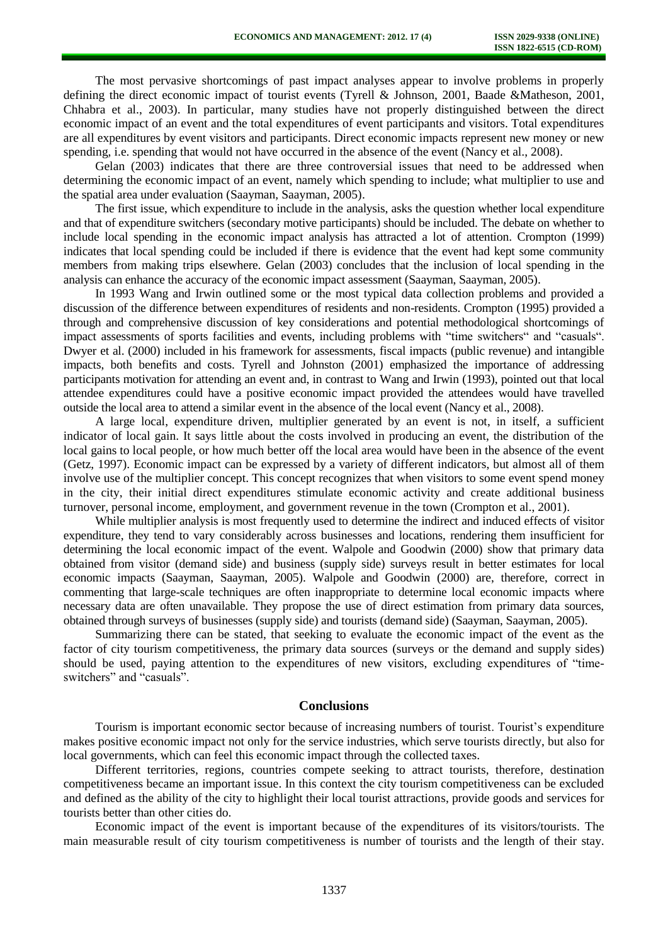The most pervasive shortcomings of past impact analyses appear to involve problems in properly defining the direct economic impact of tourist events (Tyrell & Johnson, 2001, Baade &Matheson, 2001, Chhabra et al., 2003). In particular, many studies have not properly distinguished between the direct economic impact of an event and the total expenditures of event participants and visitors. Total expenditures are all expenditures by event visitors and participants. Direct economic impacts represent new money or new spending, i.e. spending that would not have occurred in the absence of the event (Nancy et al., 2008).

Gelan (2003) indicates that there are three controversial issues that need to be addressed when determining the economic impact of an event, namely which spending to include; what multiplier to use and the spatial area under evaluation (Saayman, Saayman, 2005).

The first issue, which expenditure to include in the analysis, asks the question whether local expenditure and that of expenditure switchers (secondary motive participants) should be included. The debate on whether to include local spending in the economic impact analysis has attracted a lot of attention. Crompton (1999) indicates that local spending could be included if there is evidence that the event had kept some community members from making trips elsewhere. Gelan (2003) concludes that the inclusion of local spending in the analysis can enhance the accuracy of the economic impact assessment (Saayman, Saayman, 2005).

In 1993 Wang and Irwin outlined some or the most typical data collection problems and provided a discussion of the difference between expenditures of residents and non-residents. Crompton (1995) provided a through and comprehensive discussion of key considerations and potential methodological shortcomings of impact assessments of sports facilities and events, including problems with "time switchers" and "casuals". Dwyer et al. (2000) included in his framework for assessments, fiscal impacts (public revenue) and intangible impacts, both benefits and costs. Tyrell and Johnston (2001) emphasized the importance of addressing participants motivation for attending an event and, in contrast to Wang and Irwin (1993), pointed out that local attendee expenditures could have a positive economic impact provided the attendees would have travelled outside the local area to attend a similar event in the absence of the local event (Nancy et al., 2008).

A large local, expenditure driven, multiplier generated by an event is not, in itself, a sufficient indicator of local gain. It says little about the costs involved in producing an event, the distribution of the local gains to local people, or how much better off the local area would have been in the absence of the event (Getz, 1997). Economic impact can be expressed by a variety of different indicators, but almost all of them involve use of the multiplier concept. This concept recognizes that when visitors to some event spend money in the city, their initial direct expenditures stimulate economic activity and create additional business turnover, personal income, employment, and government revenue in the town (Crompton et al., 2001).

While multiplier analysis is most frequently used to determine the indirect and induced effects of visitor expenditure, they tend to vary considerably across businesses and locations, rendering them insufficient for determining the local economic impact of the event. Walpole and Goodwin (2000) show that primary data obtained from visitor (demand side) and business (supply side) surveys result in better estimates for local economic impacts (Saayman, Saayman, 2005). Walpole and Goodwin (2000) are, therefore, correct in commenting that large-scale techniques are often inappropriate to determine local economic impacts where necessary data are often unavailable. They propose the use of direct estimation from primary data sources, obtained through surveys of businesses (supply side) and tourists (demand side) (Saayman, Saayman, 2005).

Summarizing there can be stated, that seeking to evaluate the economic impact of the event as the factor of city tourism competitiveness, the primary data sources (surveys or the demand and supply sides) should be used, paying attention to the expenditures of new visitors, excluding expenditures of "timeswitchers" and "casuals".

#### **Conclusions**

Tourism is important economic sector because of increasing numbers of tourist. Tourist's expenditure makes positive economic impact not only for the service industries, which serve tourists directly, but also for local governments, which can feel this economic impact through the collected taxes.

Different territories, regions, countries compete seeking to attract tourists, therefore, destination competitiveness became an important issue. In this context the city tourism competitiveness can be excluded and defined as the ability of the city to highlight their local tourist attractions, provide goods and services for tourists better than other cities do.

Economic impact of the event is important because of the expenditures of its visitors/tourists. The main measurable result of city tourism competitiveness is number of tourists and the length of their stay.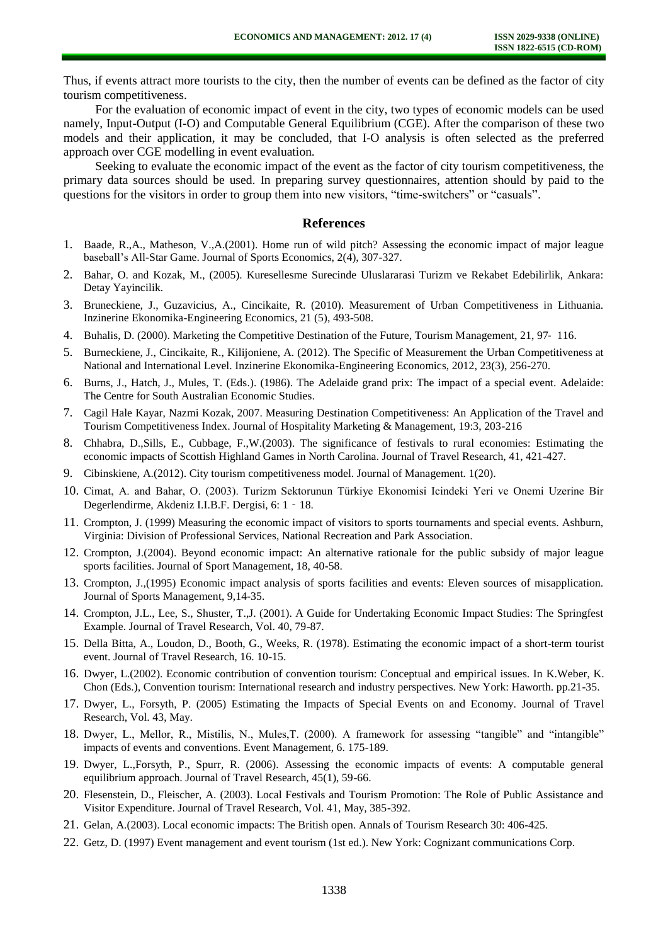Thus, if events attract more tourists to the city, then the number of events can be defined as the factor of city tourism competitiveness.

For the evaluation of economic impact of event in the city, two types of economic models can be used namely, Input-Output (I-O) and Computable General Equilibrium (CGE). After the comparison of these two models and their application, it may be concluded, that I-O analysis is often selected as the preferred approach over CGE modelling in event evaluation.

Seeking to evaluate the economic impact of the event as the factor of city tourism competitiveness, the primary data sources should be used. In preparing survey questionnaires, attention should by paid to the questions for the visitors in order to group them into new visitors, "time-switchers" or "casuals".

#### **References**

- 1. Baade, R.,A., Matheson, V.,A.(2001). Home run of wild pitch? Assessing the economic impact of major league baseball's All-Star Game. Journal of Sports Economics, 2(4), 307-327.
- 2. Bahar, O. and Kozak, M., (2005). Kuresellesme Surecinde Uluslararasi Turizm ve Rekabet Edebilirlik, Ankara: Detay Yayincilik.
- 3. Bruneckiene, J., Guzavicius, A., Cincikaite, R. (2010). Measurement of Urban Competitiveness in Lithuania. Inzinerine Ekonomika-Engineering Economics, 21 (5), 493-508.
- 4. Buhalis, D. (2000). Marketing the Competitive Destination of the Future, Tourism Management, 21, 97‐ 116.
- 5. Burneckiene, J., Cincikaite, R., Kilijoniene, A. (2012). The Specific of Measurement the Urban Competitiveness at National and International Level. Inzinerine Ekonomika-Engineering Economics, 2012, 23(3), 256-270.
- 6. Burns, J., Hatch, J., Mules, T. (Eds.). (1986). The Adelaide grand prix: The impact of a special event. Adelaide: The Centre for South Australian Economic Studies.
- 7. Cagil Hale Kayar, Nazmi Kozak, 2007. Measuring Destination Competitiveness: An Application of the Travel and Tourism Competitiveness Index. Journal of Hospitality Marketing & Management, 19:3, 203-216
- 8. Chhabra, D.,Sills, E., Cubbage, F.,W.(2003). The significance of festivals to rural economies: Estimating the economic impacts of Scottish Highland Games in North Carolina. Journal of Travel Research, 41, 421-427.
- 9. Cibinskiene, A.(2012). City tourism competitiveness model. Journal of Management. 1(20).
- 10. Cimat, A. and Bahar, O. (2003). Turizm Sektorunun Türkiye Ekonomisi Icindeki Yeri ve Onemi Uzerine Bir Degerlendirme, Akdeniz I.I.B.F. Dergisi, 6: 1‐18.
- 11. Crompton, J. (1999) Measuring the economic impact of visitors to sports tournaments and special events. Ashburn, Virginia: Division of Professional Services, National Recreation and Park Association.
- 12. Crompton, J.(2004). Beyond economic impact: An alternative rationale for the public subsidy of major league sports facilities. Journal of Sport Management, 18, 40-58.
- 13. Crompton, J.,(1995) Economic impact analysis of sports facilities and events: Eleven sources of misapplication. Journal of Sports Management, 9,14-35.
- 14. Crompton, J.L., Lee, S., Shuster, T.,J. (2001). A Guide for Undertaking Economic Impact Studies: The Springfest Example. Journal of Travel Research, Vol. 40, 79-87.
- 15. Della Bitta, A., Loudon, D., Booth, G., Weeks, R. (1978). Estimating the economic impact of a short-term tourist event. Journal of Travel Research, 16. 10-15.
- 16. Dwyer, L.(2002). Economic contribution of convention tourism: Conceptual and empirical issues. In K.Weber, K. Chon (Eds.), Convention tourism: International research and industry perspectives. New York: Haworth. pp.21-35.
- 17. Dwyer, L., Forsyth, P. (2005) Estimating the Impacts of Special Events on and Economy. Journal of Travel Research, Vol. 43, May.
- 18. Dwyer, L., Mellor, R., Mistilis, N., Mules,T. (2000). A framework for assessing "tangible" and "intangible" impacts of events and conventions. Event Management, 6. 175-189.
- 19. Dwyer, L.,Forsyth, P., Spurr, R. (2006). Assessing the economic impacts of events: A computable general equilibrium approach. Journal of Travel Research, 45(1), 59-66.
- 20. Flesenstein, D., Fleischer, A. (2003). Local Festivals and Tourism Promotion: The Role of Public Assistance and Visitor Expenditure. Journal of Travel Research, Vol. 41, May, 385-392.
- 21. Gelan, A.(2003). Local economic impacts: The British open. Annals of Tourism Research 30: 406-425.
- 22. Getz, D. (1997) Event management and event tourism (1st ed.). New York: Cognizant communications Corp.